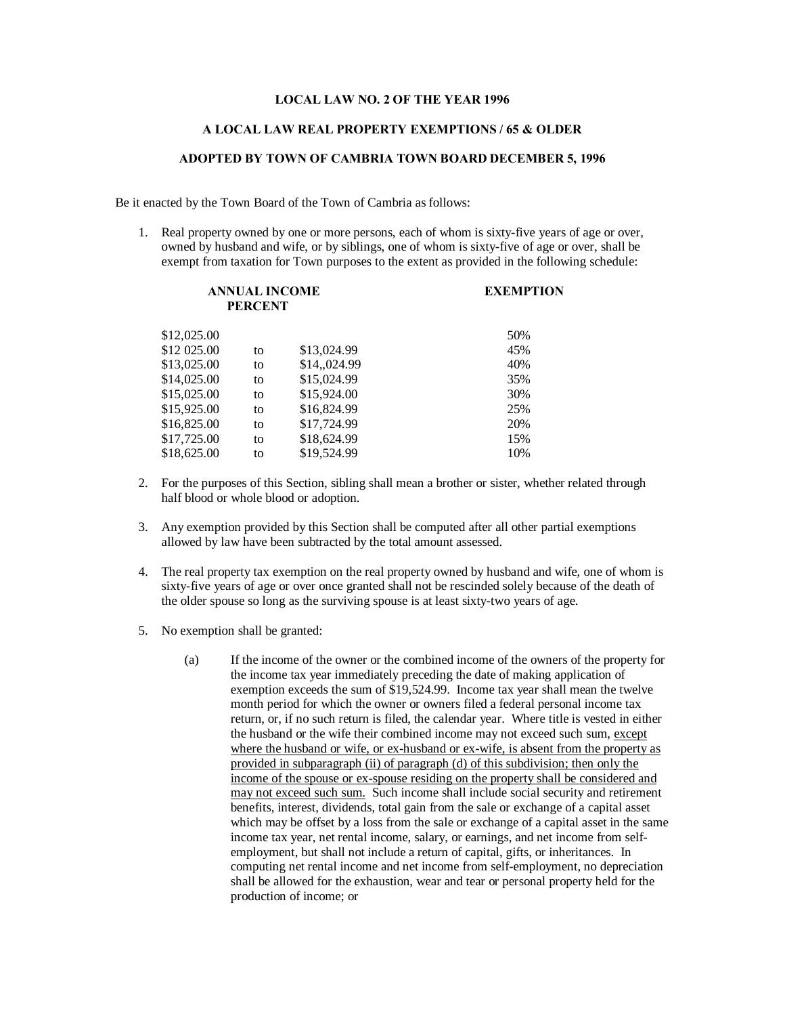## **LOCAL LAW NO. 2 OF THE YEAR 1996**

## **A LOCAL LAW REAL PROPERTY EXEMPTIONS / 65 & OLDER**

## **ADOPTED BY TOWN OF CAMBRIA TOWN BOARD DECEMBER 5, 1996**

Be it enacted by the Town Board of the Town of Cambria as follows:

1. Real property owned by one or more persons, each of whom is sixty-five years of age or over, owned by husband and wife, or by siblings, one of whom is sixty-five of age or over, shall be exempt from taxation for Town purposes to the extent as provided in the following schedule:

| <b>ANNUAL INCOME</b><br><b>PERCENT</b> |    |              | <b>EXEMPTION</b> |
|----------------------------------------|----|--------------|------------------|
| \$12,025.00                            |    |              | 50%              |
| \$12 025.00                            | to | \$13,024.99  | 45%              |
| \$13,025.00                            | to | \$14,,024.99 | 40%              |
| \$14,025.00                            | to | \$15,024.99  | 35%              |
| \$15,025.00                            | to | \$15,924.00  | 30%              |
| \$15,925.00                            | to | \$16,824.99  | 25%              |
| \$16,825.00                            | to | \$17,724.99  | 20%              |
| \$17,725.00                            | to | \$18,624.99  | 15%              |
| \$18,625.00                            | to | \$19,524.99  | 10%              |

- 2. For the purposes of this Section, sibling shall mean a brother or sister, whether related through half blood or whole blood or adoption.
- 3. Any exemption provided by this Section shall be computed after all other partial exemptions allowed by law have been subtracted by the total amount assessed.
- 4. The real property tax exemption on the real property owned by husband and wife, one of whom is sixty-five years of age or over once granted shall not be rescinded solely because of the death of the older spouse so long as the surviving spouse is at least sixty-two years of age.
- 5. No exemption shall be granted:
	- (a) If the income of the owner or the combined income of the owners of the property for the income tax year immediately preceding the date of making application of exemption exceeds the sum of \$19,524.99. Income tax year shall mean the twelve month period for which the owner or owners filed a federal personal income tax return, or, if no such return is filed, the calendar year. Where title is vested in either the husband or the wife their combined income may not exceed such sum, except where the husband or wife, or ex-husband or ex-wife, is absent from the property as provided in subparagraph (ii) of paragraph (d) of this subdivision; then only the income of the spouse or ex-spouse residing on the property shall be considered and may not exceed such sum. Such income shall include social security and retirement benefits, interest, dividends, total gain from the sale or exchange of a capital asset which may be offset by a loss from the sale or exchange of a capital asset in the same income tax year, net rental income, salary, or earnings, and net income from selfemployment, but shall not include a return of capital, gifts, or inheritances. In computing net rental income and net income from self-employment, no depreciation shall be allowed for the exhaustion, wear and tear or personal property held for the production of income; or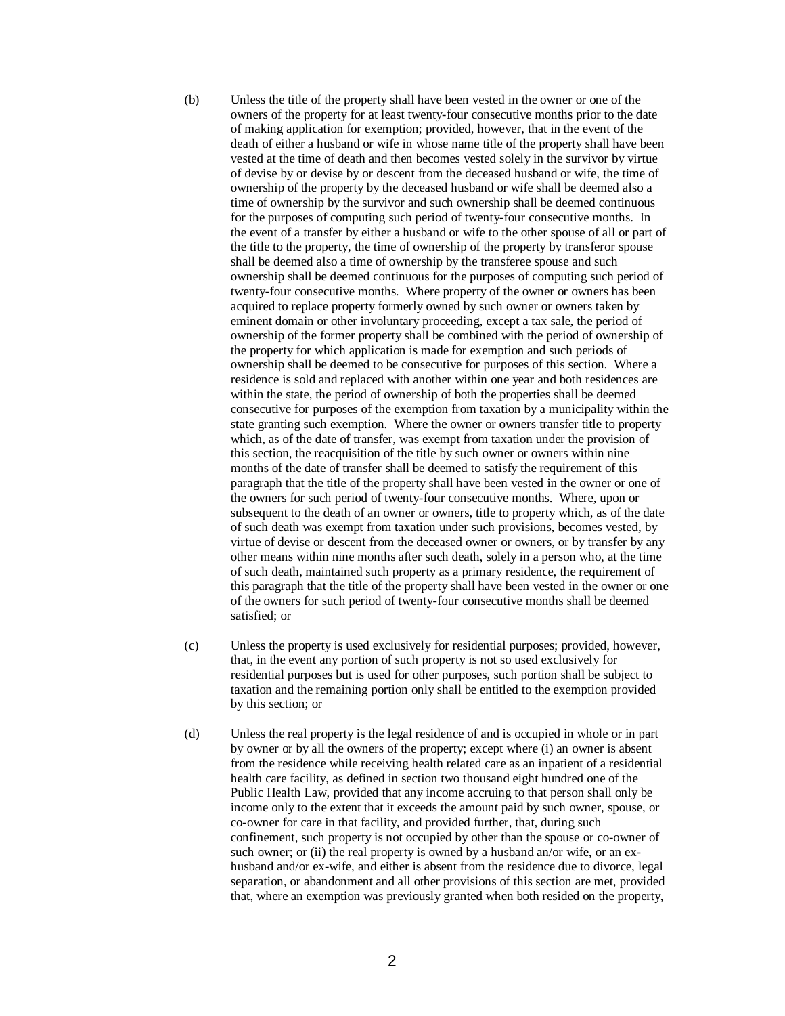- (b) Unless the title of the property shall have been vested in the owner or one of the owners of the property for at least twenty-four consecutive months prior to the date of making application for exemption; provided, however, that in the event of the death of either a husband or wife in whose name title of the property shall have been vested at the time of death and then becomes vested solely in the survivor by virtue of devise by or devise by or descent from the deceased husband or wife, the time of ownership of the property by the deceased husband or wife shall be deemed also a time of ownership by the survivor and such ownership shall be deemed continuous for the purposes of computing such period of twenty-four consecutive months. In the event of a transfer by either a husband or wife to the other spouse of all or part of the title to the property, the time of ownership of the property by transferor spouse shall be deemed also a time of ownership by the transferee spouse and such ownership shall be deemed continuous for the purposes of computing such period of twenty-four consecutive months. Where property of the owner or owners has been acquired to replace property formerly owned by such owner or owners taken by eminent domain or other involuntary proceeding, except a tax sale, the period of ownership of the former property shall be combined with the period of ownership of the property for which application is made for exemption and such periods of ownership shall be deemed to be consecutive for purposes of this section. Where a residence is sold and replaced with another within one year and both residences are within the state, the period of ownership of both the properties shall be deemed consecutive for purposes of the exemption from taxation by a municipality within the state granting such exemption. Where the owner or owners transfer title to property which, as of the date of transfer, was exempt from taxation under the provision of this section, the reacquisition of the title by such owner or owners within nine months of the date of transfer shall be deemed to satisfy the requirement of this paragraph that the title of the property shall have been vested in the owner or one of the owners for such period of twenty-four consecutive months. Where, upon or subsequent to the death of an owner or owners, title to property which, as of the date of such death was exempt from taxation under such provisions, becomes vested, by virtue of devise or descent from the deceased owner or owners, or by transfer by any other means within nine months after such death, solely in a person who, at the time of such death, maintained such property as a primary residence, the requirement of this paragraph that the title of the property shall have been vested in the owner or one of the owners for such period of twenty-four consecutive months shall be deemed satisfied; or
- (c) Unless the property is used exclusively for residential purposes; provided, however, that, in the event any portion of such property is not so used exclusively for residential purposes but is used for other purposes, such portion shall be subject to taxation and the remaining portion only shall be entitled to the exemption provided by this section; or
- (d) Unless the real property is the legal residence of and is occupied in whole or in part by owner or by all the owners of the property; except where (i) an owner is absent from the residence while receiving health related care as an inpatient of a residential health care facility, as defined in section two thousand eight hundred one of the Public Health Law, provided that any income accruing to that person shall only be income only to the extent that it exceeds the amount paid by such owner, spouse, or co-owner for care in that facility, and provided further, that, during such confinement, such property is not occupied by other than the spouse or co-owner of such owner; or (ii) the real property is owned by a husband an/or wife, or an exhusband and/or ex-wife, and either is absent from the residence due to divorce, legal separation, or abandonment and all other provisions of this section are met, provided that, where an exemption was previously granted when both resided on the property,